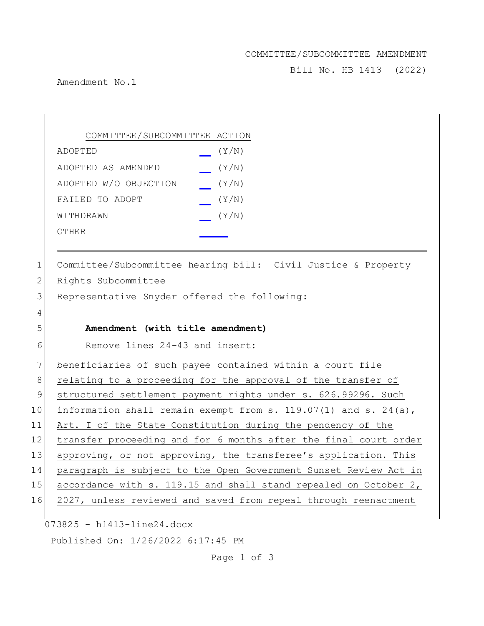## COMMITTEE/SUBCOMMITTEE AMENDMENT

Bill No. HB 1413 (2022)

Amendment No.1

COMMITTEE/SUBCOMMITTEE ACTION ADOPTED (Y/N) ADOPTED AS AMENDED (Y/N) ADOPTED W/O OBJECTION (Y/N) FAILED TO ADOPT  $(Y/N)$  $W1$ THDRAWN  $(Y/N)$ OTHER

073825 - h1413-line24.docx Published On: 1/26/2022 6:17:45 PM 1 Committee/Subcommittee hearing bill: Civil Justice & Property 2 Rights Subcommittee 3 Representative Snyder offered the following: 4 5 **Amendment (with title amendment)** 6 Remove lines 24-43 and insert: 7 beneficiaries of such payee contained within a court file 8 relating to a proceeding for the approval of the transfer of 9 structured settlement payment rights under s. 626.99296. Such 10 information shall remain exempt from s. 119.07(1) and s. 24(a), 11 Art. I of the State Constitution during the pendency of the 12 transfer proceeding and for 6 months after the final court order 13 approving, or not approving, the transferee's application. This 14 paragraph is subject to the Open Government Sunset Review Act in 15 accordance with s. 119.15 and shall stand repealed on October 2, 16 2027, unless reviewed and saved from repeal through reenactment

Page 1 of 3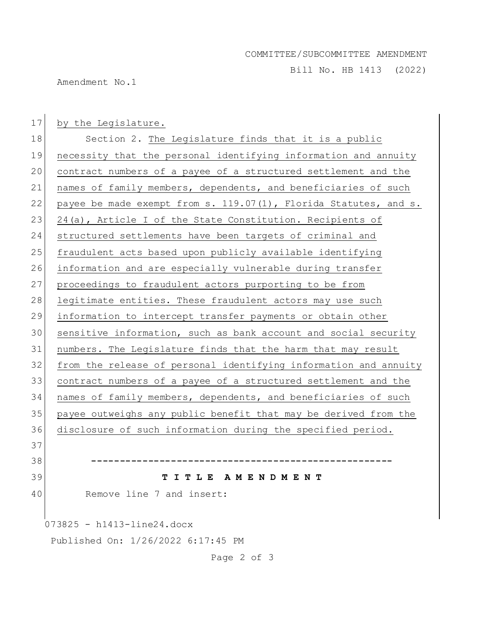## COMMITTEE/SUBCOMMITTEE AMENDMENT

Bill No. HB 1413 (2022)

Amendment No.1

073825 - h1413-line24.docx Published On: 1/26/2022 6:17:45 PM 17 by the Legislature. 18 Section 2. The Legislature finds that it is a public 19 necessity that the personal identifying information and annuity 20 contract numbers of a payee of a structured settlement and the 21 names of family members, dependents, and beneficiaries of such 22 payee be made exempt from s.  $119.07(1)$ , Florida Statutes, and s. 23 24(a), Article I of the State Constitution. Recipients of 24 structured settlements have been targets of criminal and 25 fraudulent acts based upon publicly available identifying 26 information and are especially vulnerable during transfer 27 proceedings to fraudulent actors purporting to be from 28 legitimate entities. These fraudulent actors may use such 29 information to intercept transfer payments or obtain other 30 sensitive information, such as bank account and social security 31 numbers. The Legislature finds that the harm that may result 32 from the release of personal identifying information and annuity 33 contract numbers of a payee of a structured settlement and the 34 names of family members, dependents, and beneficiaries of such 35 payee outweighs any public benefit that may be derived from the 36 disclosure of such information during the specified period. 37 38 **-----------------------------------------------------** 39 **T I T L E A M E N D M E N T** 40 Remove line 7 and insert:

Page 2 of 3